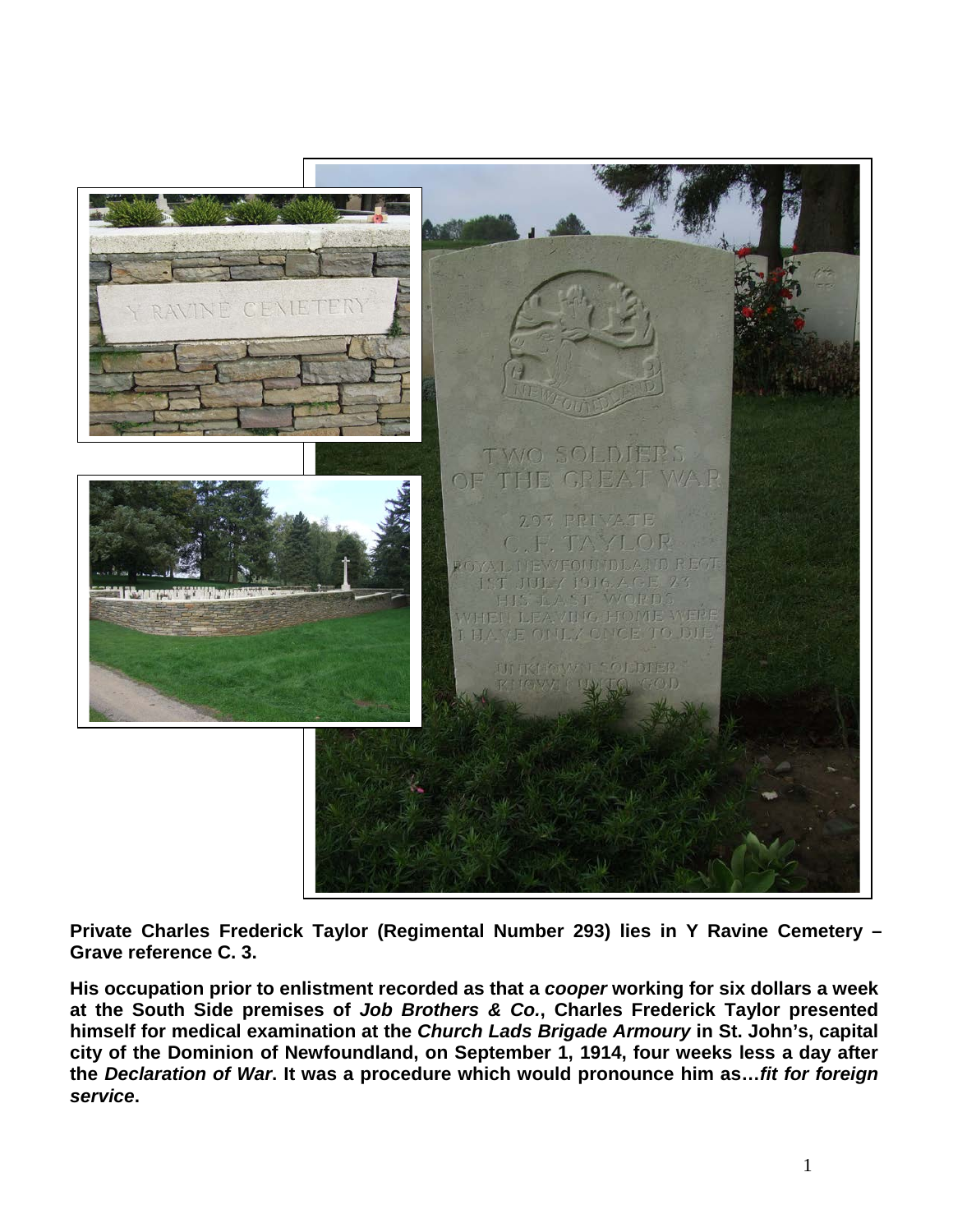

**Private Charles Frederick Taylor (Regimental Number 293) lies in Y Ravine Cemetery – Grave reference C. 3.** 

**His occupation prior to enlistment recorded as that a** *cooper* **working for six dollars a week at the South Side premises of** *Job Brothers & Co.***, Charles Frederick Taylor presented himself for medical examination at the** *Church Lads Brigade Armoury* **in St. John's, capital city of the Dominion of Newfoundland, on September 1, 1914, four weeks less a day after the** *Declaration of War***. It was a procedure which would pronounce him as…***fit for foreign service***.**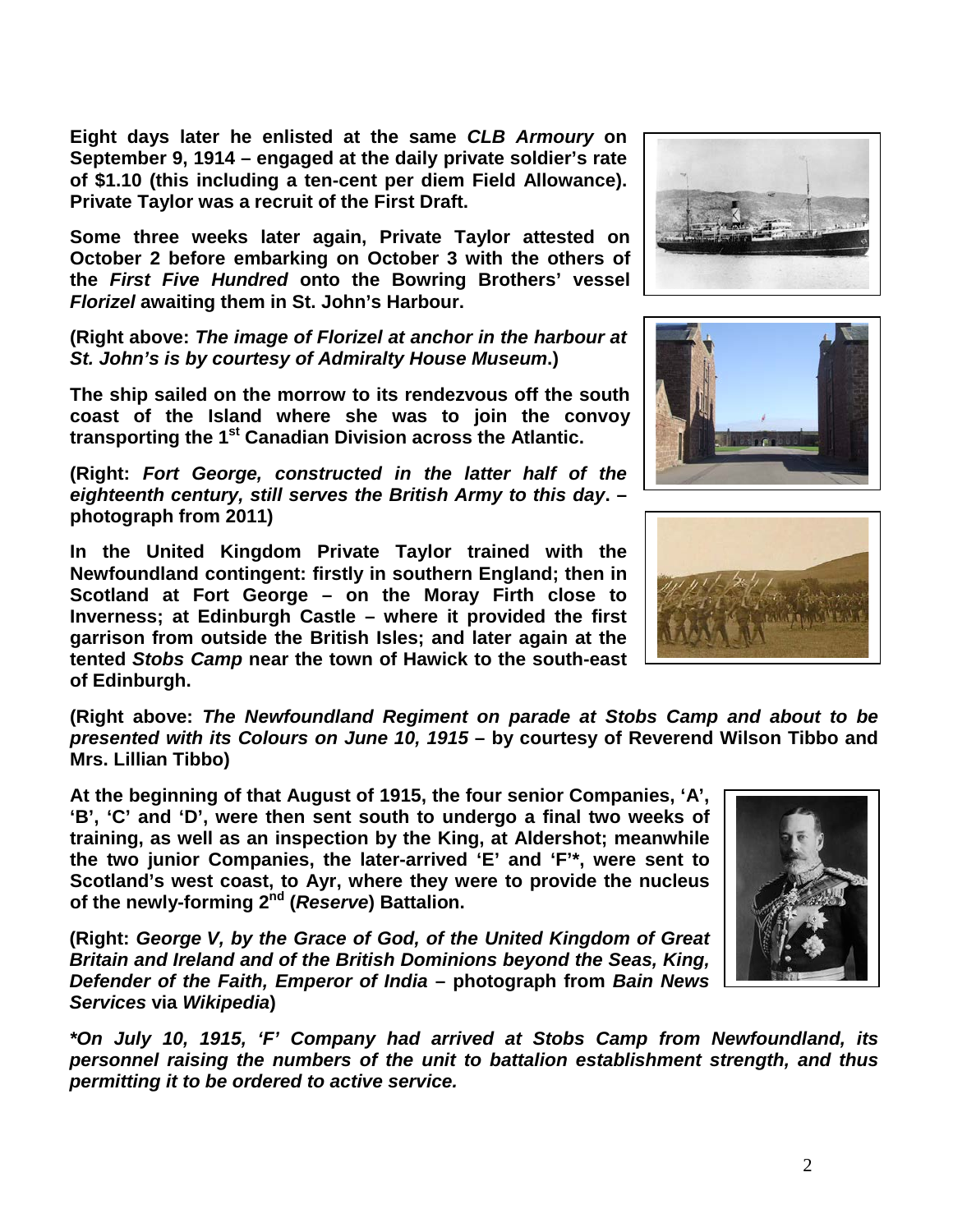**Eight days later he enlisted at the same** *CLB Armoury* **on September 9, 1914 – engaged at the daily private soldier's rate of \$1.10 (this including a ten-cent per diem Field Allowance). Private Taylor was a recruit of the First Draft.** 

**Some three weeks later again, Private Taylor attested on October 2 before embarking on October 3 with the others of the** *First Five Hundred* **onto the Bowring Brothers' vessel**  *Florizel* **awaiting them in St. John's Harbour.** 

**(Right above:** *The image of Florizel at anchor in the harbour at St. John's is by courtesy of Admiralty House Museum***.)**

**The ship sailed on the morrow to its rendezvous off the south coast of the Island where she was to join the convoy transporting the 1st Canadian Division across the Atlantic.**

**(Right:** *Fort George, constructed in the latter half of the eighteenth century, still serves the British Army to this day***. – photograph from 2011)**

**In the United Kingdom Private Taylor trained with the Newfoundland contingent: firstly in southern England; then in Scotland at Fort George – on the Moray Firth close to Inverness; at Edinburgh Castle – where it provided the first garrison from outside the British Isles; and later again at the tented** *Stobs Camp* **near the town of Hawick to the south-east of Edinburgh.**

**(Right above:** *The Newfoundland Regiment on parade at Stobs Camp and about to be presented with its Colours on June 10, 1915* **– by courtesy of Reverend Wilson Tibbo and Mrs. Lillian Tibbo)**

**At the beginning of that August of 1915, the four senior Companies, 'A', 'B', 'C' and 'D', were then sent south to undergo a final two weeks of training, as well as an inspection by the King, at Aldershot; meanwhile the two junior Companies, the later-arrived 'E' and 'F'\*, were sent to Scotland's west coast, to Ayr, where they were to provide the nucleus of the newly-forming 2nd (***Reserve***) Battalion.**

**(Right:** *George V, by the Grace of God, of the United Kingdom of Great Britain and Ireland and of the British Dominions beyond the Seas, King, Defender of the Faith, Emperor of India* **– photograph from** *Bain News Services* **via** *Wikipedia***)**

*\*On July 10, 1915, 'F' Company had arrived at Stobs Camp from Newfoundland, its personnel raising the numbers of the unit to battalion establishment strength, and thus permitting it to be ordered to active service.*









2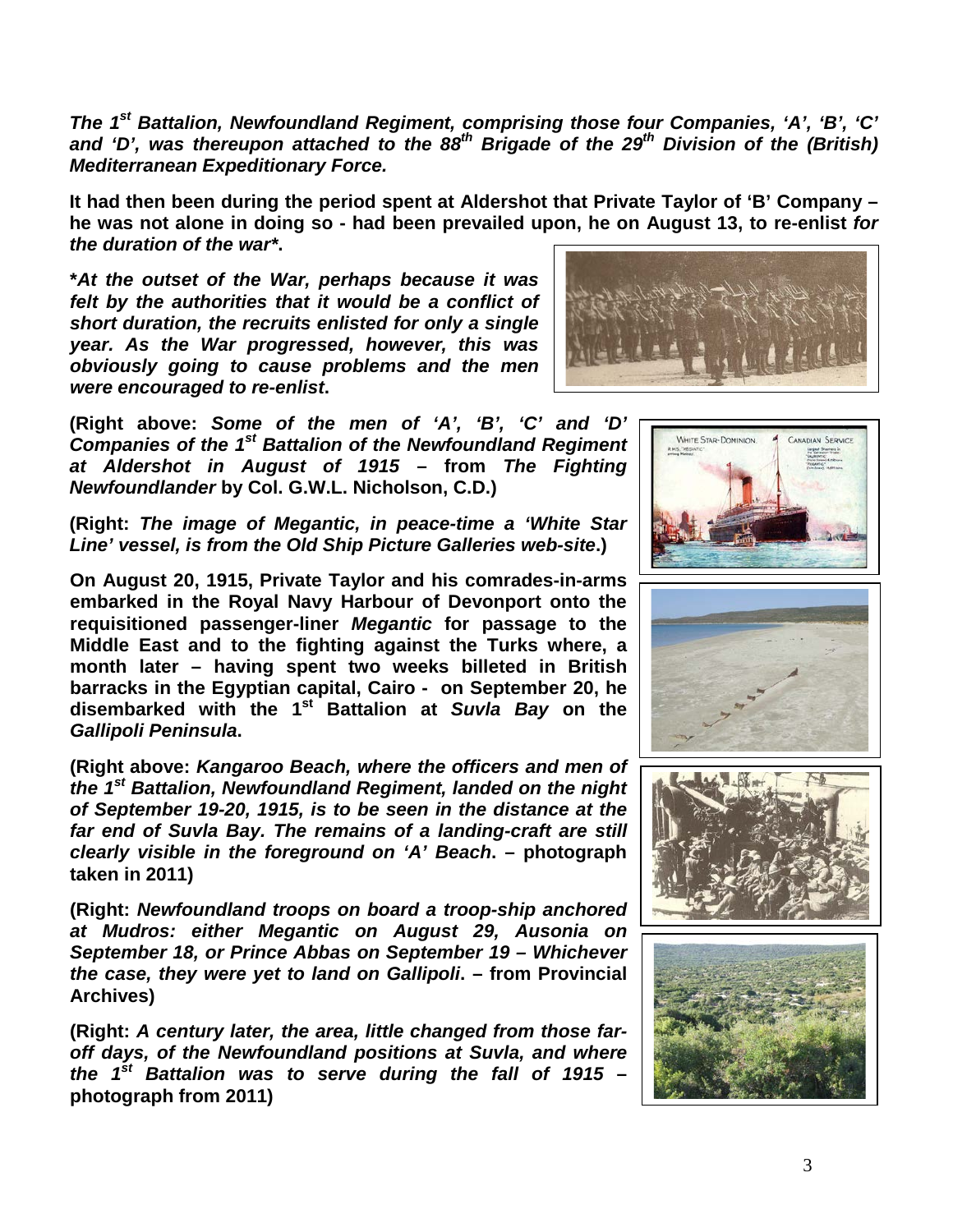*The 1st Battalion, Newfoundland Regiment, comprising those four Companies, 'A', 'B', 'C' and 'D', was thereupon attached to the 88th Brigade of the 29th Division of the (British) Mediterranean Expeditionary Force.*

**It had then been during the period spent at Aldershot that Private Taylor of 'B' Company – he was not alone in doing so - had been prevailed upon, he on August 13, to re-enlist** *for the duration of the war\****.** 

**\****At the outset of the War, perhaps because it was felt by the authorities that it would be a conflict of short duration, the recruits enlisted for only a single year. As the War progressed, however, this was obviously going to cause problems and the men were encouraged to re-enlist***.**



**(Right above:** *Some of the men of 'A', 'B', 'C' and 'D' Companies of the 1st Battalion of the Newfoundland Regiment at Aldershot in August of 1915* **– from** *The Fighting Newfoundlander* **by Col. G.W.L. Nicholson, C.D.)**

**(Right:** *The image of Megantic, in peace-time a 'White Star Line' vessel, is from the Old Ship Picture Galleries web-site***.)**

**On August 20, 1915, Private Taylor and his comrades-in-arms embarked in the Royal Navy Harbour of Devonport onto the requisitioned passenger-liner** *Megantic* **for passage to the Middle East and to the fighting against the Turks where, a month later – having spent two weeks billeted in British barracks in the Egyptian capital, Cairo - on September 20, he disembarked with the 1st Battalion at** *Suvla Bay* **on the**  *Gallipoli Peninsula***.**

**(Right above:** *Kangaroo Beach, where the officers and men of the 1st Battalion, Newfoundland Regiment, landed on the night of September 19-20, 1915, is to be seen in the distance at the far end of Suvla Bay. The remains of a landing-craft are still clearly visible in the foreground on 'A' Beach***. – photograph taken in 2011)**

**(Right:** *Newfoundland troops on board a troop-ship anchored at Mudros: either Megantic on August 29, Ausonia on September 18, or Prince Abbas on September 19 – Whichever the case, they were yet to land on Gallipoli***. – from Provincial Archives)**

**(Right:** *A century later, the area, little changed from those faroff days, of the Newfoundland positions at Suvla, and where the 1st Battalion was to serve during the fall of 1915* **– photograph from 2011)**







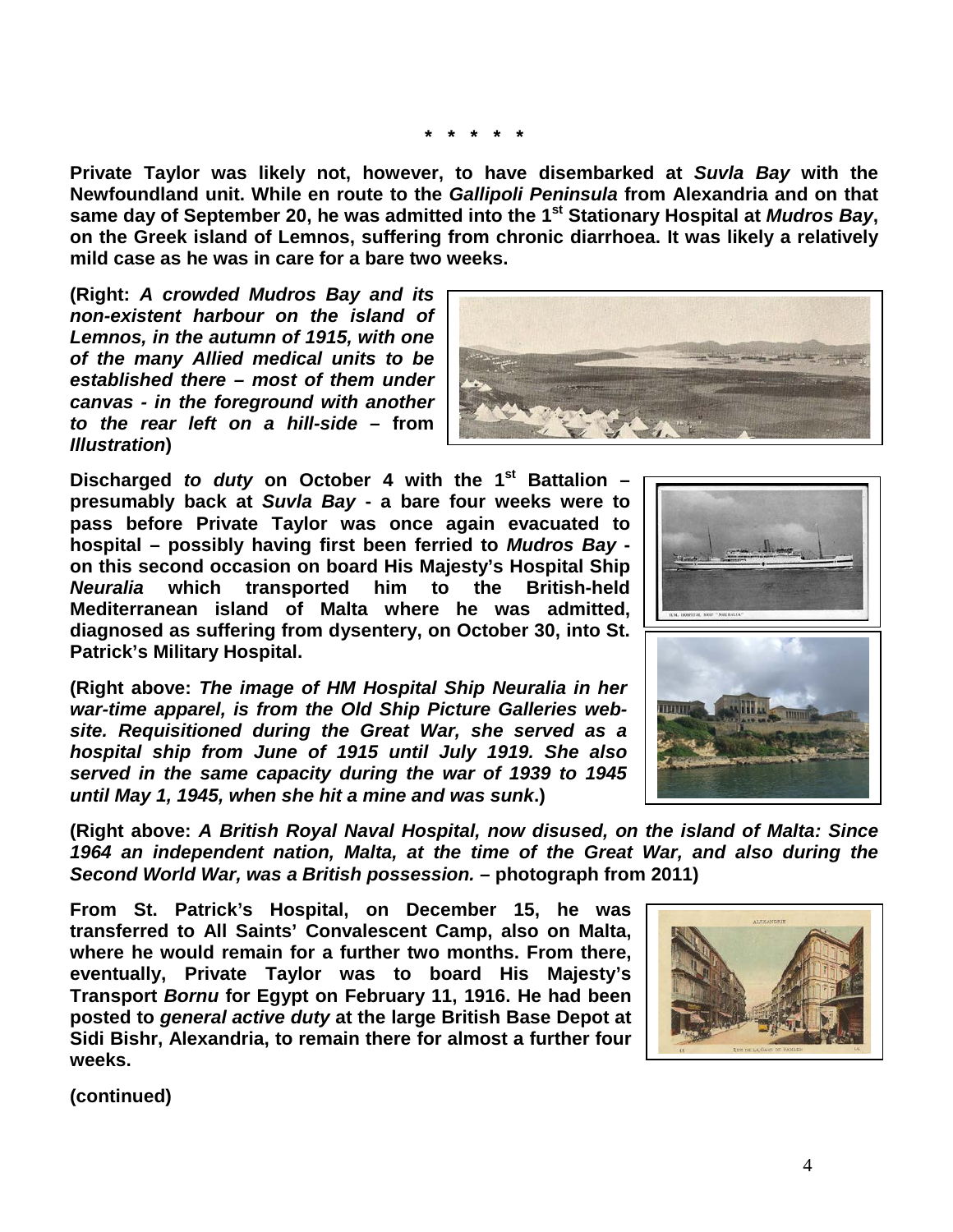**\* \* \* \* \***

**Private Taylor was likely not, however, to have disembarked at** *Suvla Bay* **with the Newfoundland unit. While en route to the** *Gallipoli Peninsula* **from Alexandria and on that same day of September 20, he was admitted into the 1st Stationary Hospital at** *Mudros Bay***, on the Greek island of Lemnos, suffering from chronic diarrhoea. It was likely a relatively mild case as he was in care for a bare two weeks.**

**(Right:** *A crowded Mudros Bay and its non-existent harbour on the island of Lemnos, in the autumn of 1915, with one of the many Allied medical units to be established there – most of them under canvas - in the foreground with another to the rear left on a hill-side –* **from**  *Illustration***)**

**Discharged** *to duty* **on October 4 with the 1st Battalion – presumably back at** *Suvla Bay* **- a bare four weeks were to pass before Private Taylor was once again evacuated to hospital – possibly having first been ferried to** *Mudros Bay*  **on this second occasion on board His Majesty's Hospital Ship** *Neuralia* **which transported him to the British-held Mediterranean island of Malta where he was admitted, diagnosed as suffering from dysentery, on October 30, into St. Patrick's Military Hospital.**

**(Right above:** *The image of HM Hospital Ship Neuralia in her war-time apparel, is from the Old Ship Picture Galleries website. Requisitioned during the Great War, she served as a hospital ship from June of 1915 until July 1919. She also served in the same capacity during the war of 1939 to 1945 until May 1, 1945, when she hit a mine and was sunk***.)**

**(Right above:** *A British Royal Naval Hospital, now disused, on the island of Malta: Since 1964 an independent nation, Malta, at the time of the Great War, and also during the Second World War, was a British possession. –* **photograph from 2011)**

**From St. Patrick's Hospital, on December 15, he was transferred to All Saints' Convalescent Camp, also on Malta, where he would remain for a further two months. From there, eventually, Private Taylor was to board His Majesty's Transport** *Bornu* **for Egypt on February 11, 1916. He had been posted to** *general active duty* **at the large British Base Depot at Sidi Bishr, Alexandria, to remain there for almost a further four weeks.**





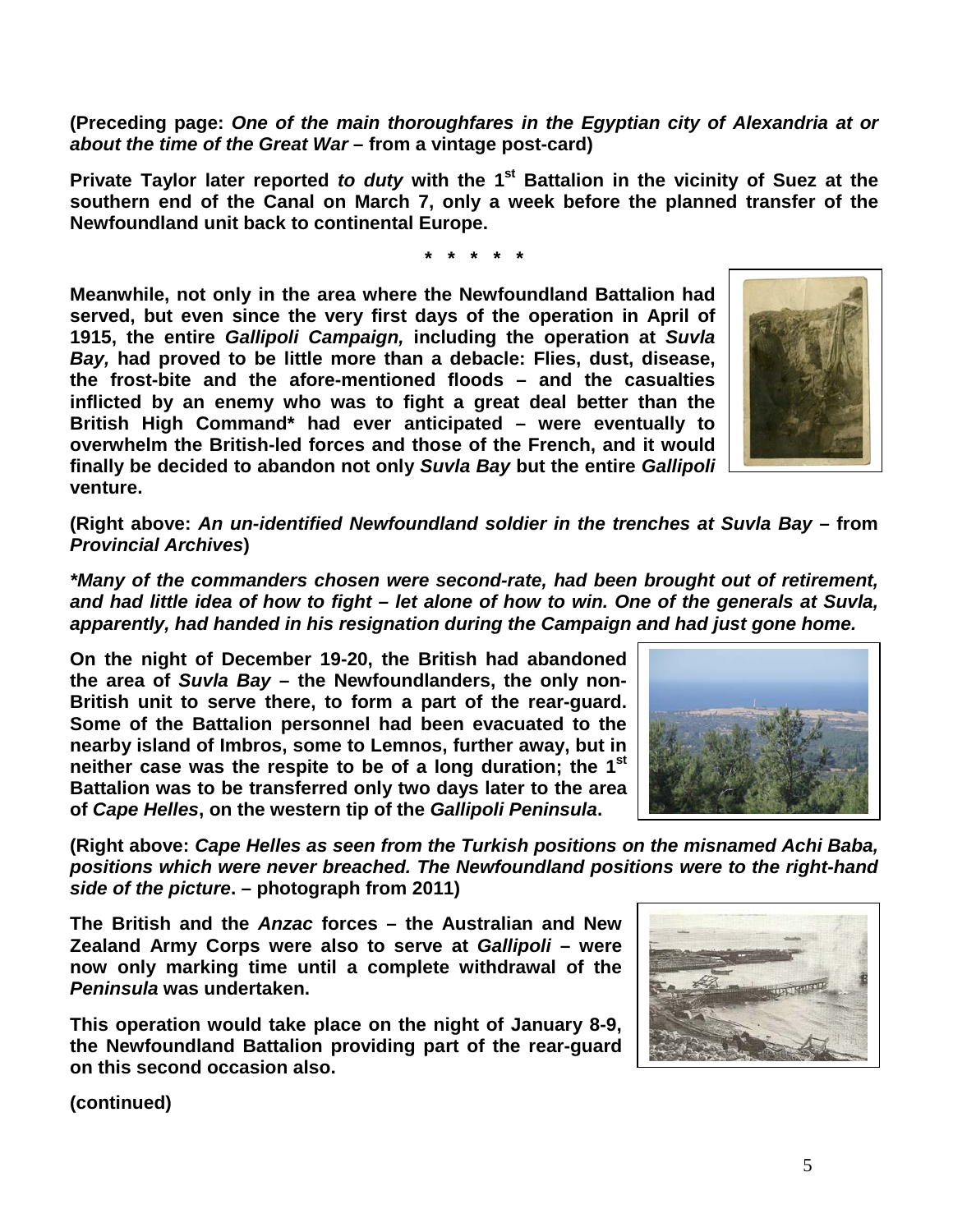**(Preceding page:** *One of the main thoroughfares in the Egyptian city of Alexandria at or about the time of the Great War* **– from a vintage post-card)**

**Private Taylor later reported to duty with the 1<sup>st</sup> Battalion in the vicinity of Suez at the southern end of the Canal on March 7, only a week before the planned transfer of the Newfoundland unit back to continental Europe.**

**\* \* \* \* \***

**Meanwhile, not only in the area where the Newfoundland Battalion had served, but even since the very first days of the operation in April of 1915, the entire** *Gallipoli Campaign,* **including the operation at** *Suvla Bay,* **had proved to be little more than a debacle: Flies, dust, disease, the frost-bite and the afore-mentioned floods – and the casualties inflicted by an enemy who was to fight a great deal better than the British High Command\* had ever anticipated – were eventually to overwhelm the British-led forces and those of the French, and it would finally be decided to abandon not only** *Suvla Bay* **but the entire** *Gallipoli* **venture.**



**(Right above:** *An un-identified Newfoundland soldier in the trenches at Suvla Bay –* **from**  *Provincial Archives***)**

*\*Many of the commanders chosen were second-rate, had been brought out of retirement, and had little idea of how to fight – let alone of how to win. One of the generals at Suvla, apparently, had handed in his resignation during the Campaign and had just gone home.* 

**On the night of December 19-20, the British had abandoned the area of** *Suvla Bay* **– the Newfoundlanders, the only non-British unit to serve there, to form a part of the rear-guard. Some of the Battalion personnel had been evacuated to the nearby island of Imbros, some to Lemnos, further away, but in neither case was the respite to be of a long duration; the 1st Battalion was to be transferred only two days later to the area of** *Cape Helles***, on the western tip of the** *Gallipoli Peninsula***.**

**(Right above:** *Cape Helles as seen from the Turkish positions on the misnamed Achi Baba, positions which were never breached. The Newfoundland positions were to the right-hand side of the picture***. – photograph from 2011)**

**The British and the** *Anzac* **forces – the Australian and New Zealand Army Corps were also to serve at** *Gallipoli* **– were now only marking time until a complete withdrawal of the**  *Peninsula* **was undertaken.** 

**This operation would take place on the night of January 8-9, the Newfoundland Battalion providing part of the rear-guard on this second occasion also.**



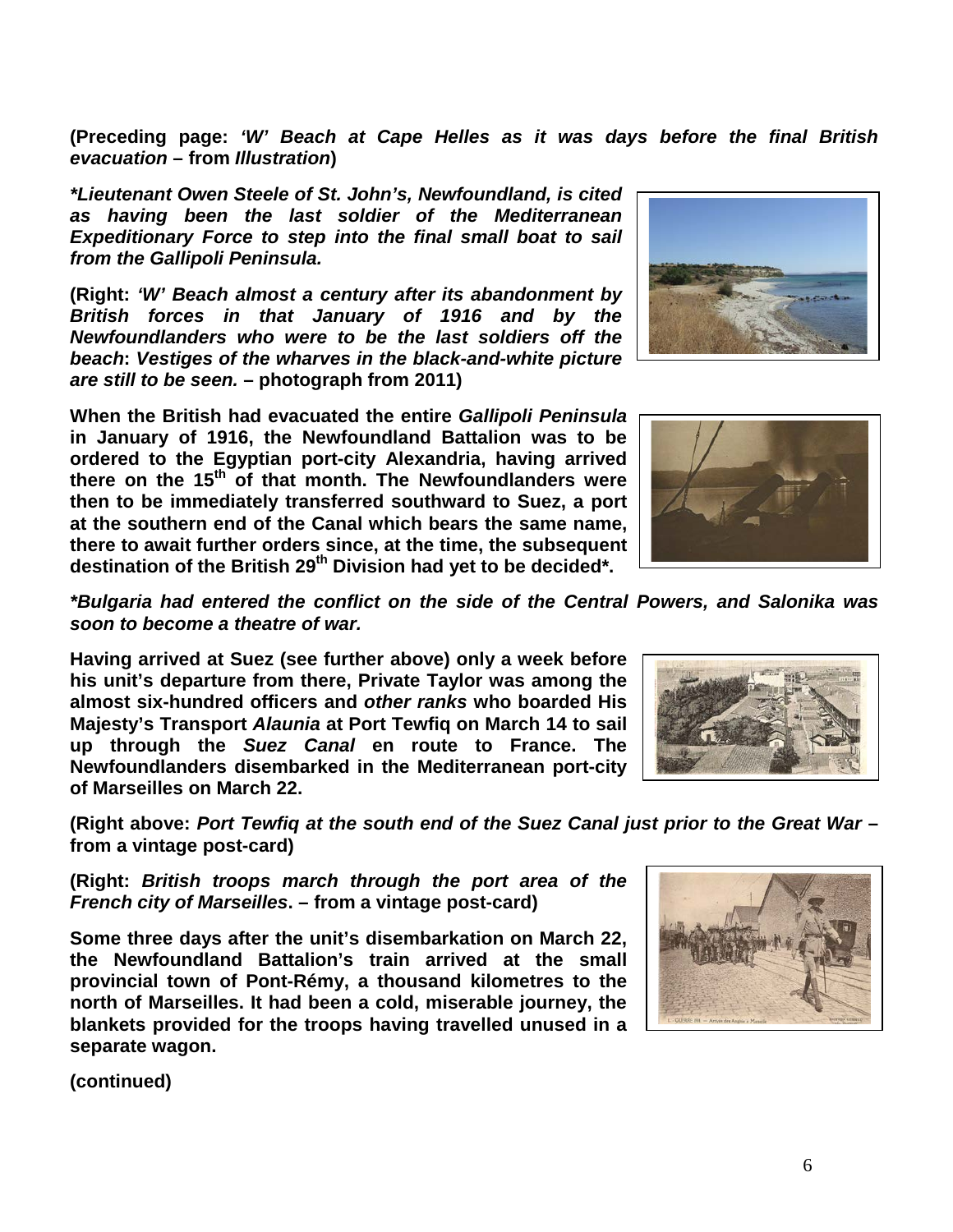6

**(Preceding page:** *'W' Beach at Cape Helles as it was days before the final British evacuation* **– from** *Illustration***)**

*\*Lieutenant Owen Steele of St. John's, Newfoundland, is cited as having been the last soldier of the Mediterranean Expeditionary Force to step into the final small boat to sail from the Gallipoli Peninsula.* 

**(Right:** *'W' Beach almost a century after its abandonment by British forces in that January of 1916 and by the Newfoundlanders who were to be the last soldiers off the beach***:** *Vestiges of the wharves in the black-and-white picture are still to be seen.* **– photograph from 2011)**

**When the British had evacuated the entire** *Gallipoli Peninsula* **in January of 1916, the Newfoundland Battalion was to be ordered to the Egyptian port-city Alexandria, having arrived there on the 15th of that month. The Newfoundlanders were then to be immediately transferred southward to Suez, a port at the southern end of the Canal which bears the same name, there to await further orders since, at the time, the subsequent**  destination of the British 29<sup>th</sup> Division had vet to be decided\*.

*\*Bulgaria had entered the conflict on the side of the Central Powers, and Salonika was soon to become a theatre of war.*

**Having arrived at Suez (see further above) only a week before his unit's departure from there, Private Taylor was among the almost six-hundred officers and** *other ranks* **who boarded His Majesty's Transport** *Alaunia* **at Port Tewfiq on March 14 to sail up through the** *Suez Canal* **en route to France. The Newfoundlanders disembarked in the Mediterranean port-city of Marseilles on March 22.**

**(Right above:** *Port Tewfiq at the south end of the Suez Canal just prior to the Great War* **– from a vintage post-card)**

**(Right:** *British troops march through the port area of the French city of Marseilles***. – from a vintage post-card)**

**Some three days after the unit's disembarkation on March 22, the Newfoundland Battalion's train arrived at the small provincial town of Pont-Rémy, a thousand kilometres to the north of Marseilles. It had been a cold, miserable journey, the blankets provided for the troops having travelled unused in a separate wagon.**







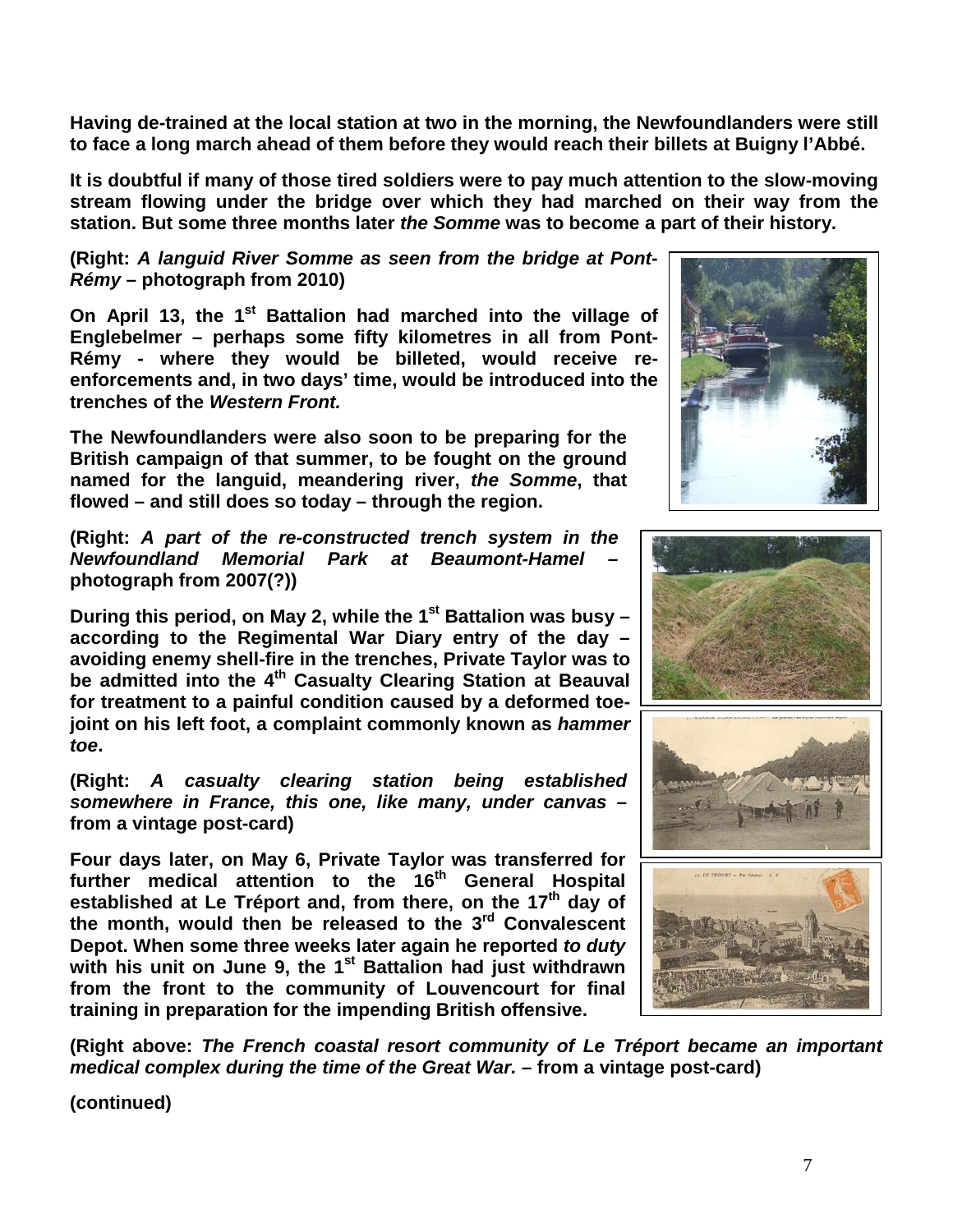**Having de-trained at the local station at two in the morning, the Newfoundlanders were still to face a long march ahead of them before they would reach their billets at Buigny l'Abbé.**

**It is doubtful if many of those tired soldiers were to pay much attention to the slow-moving stream flowing under the bridge over which they had marched on their way from the station. But some three months later** *the Somme* **was to become a part of their history.**

**(Right:** *A languid River Somme as seen from the bridge at Pont-Rémy* **– photograph from 2010)**

**On April 13, the 1st Battalion had marched into the village of Englebelmer – perhaps some fifty kilometres in all from Pont-Rémy - where they would be billeted, would receive reenforcements and, in two days' time, would be introduced into the trenches of the** *Western Front.*

**The Newfoundlanders were also soon to be preparing for the British campaign of that summer, to be fought on the ground named for the languid, meandering river,** *the Somme***, that flowed – and still does so today – through the region.** 

**(Right:** *A part of the re-constructed trench system in the Newfoundland Memorial Park at Beaumont-Hamel –* **photograph from 2007(?))**

**During this period, on May 2, while the 1<sup>st</sup> Battalion was busy – according to the Regimental War Diary entry of the day – avoiding enemy shell-fire in the trenches, Private Taylor was to be admitted into the 4th Casualty Clearing Station at Beauval for treatment to a painful condition caused by a deformed toejoint on his left foot, a complaint commonly known as** *hammer toe***.** 

**(Right:** *A casualty clearing station being established somewhere in France, this one, like many, under canvas* **– from a vintage post-card)**

**Four days later, on May 6, Private Taylor was transferred for further medical attention to the 16th General Hospital established at Le Tréport and, from there, on the 17th day of the month, would then be released to the 3rd Convalescent Depot. When some three weeks later again he reported** *to duty* **with his unit on June 9, the 1st Battalion had just withdrawn from the front to the community of Louvencourt for final training in preparation for the impending British offensive.**





**(Right above:** *The French coastal resort community of Le Tréport became an important medical complex during the time of the Great War.* **– from a vintage post-card)**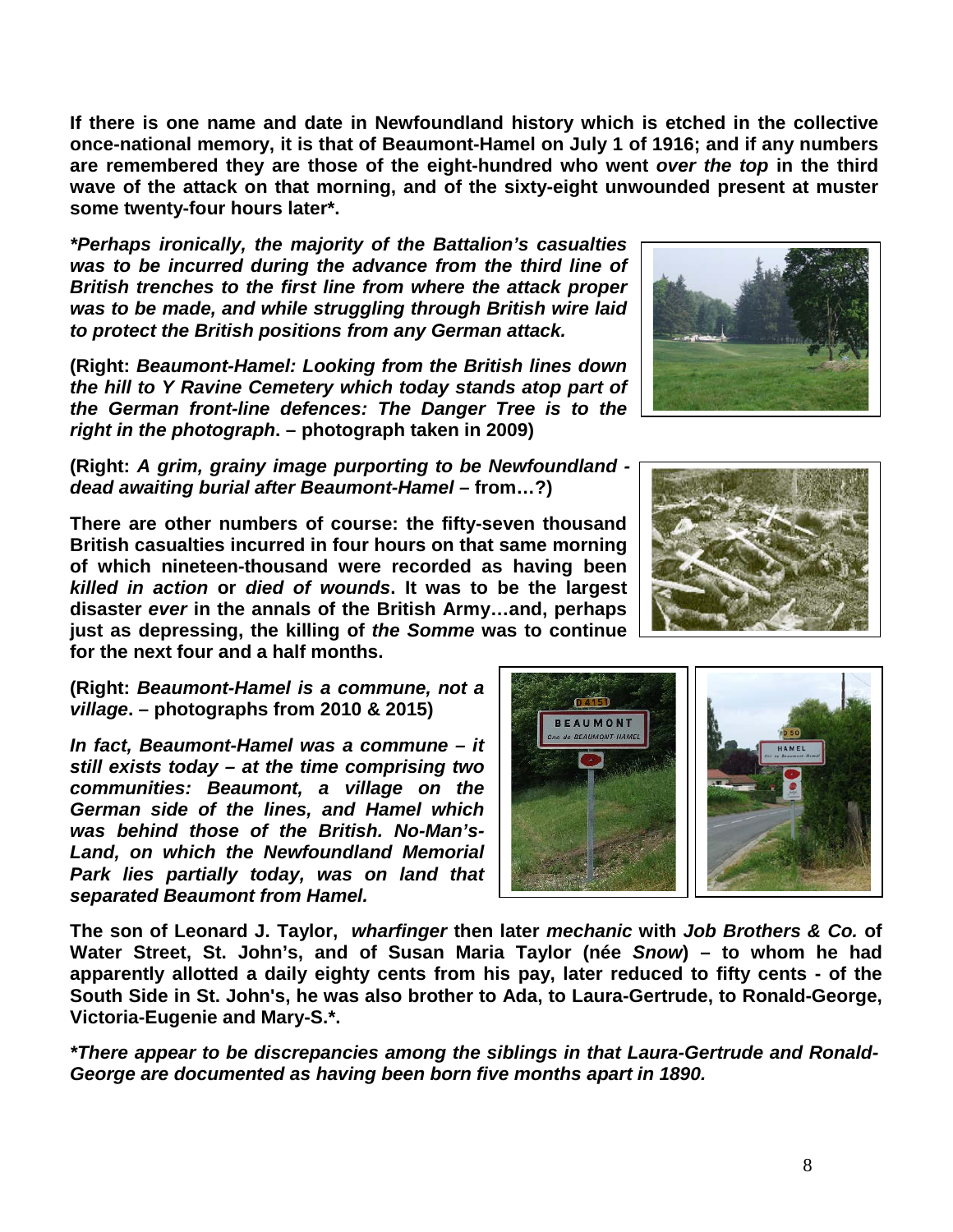**If there is one name and date in Newfoundland history which is etched in the collective once-national memory, it is that of Beaumont-Hamel on July 1 of 1916; and if any numbers are remembered they are those of the eight-hundred who went** *over the top* **in the third wave of the attack on that morning, and of the sixty-eight unwounded present at muster some twenty-four hours later\*.**

*\*Perhaps ironically, the majority of the Battalion's casualties was to be incurred during the advance from the third line of British trenches to the first line from where the attack proper was to be made, and while struggling through British wire laid to protect the British positions from any German attack.*

**(Right:** *Beaumont-Hamel: Looking from the British lines down the hill to Y Ravine Cemetery which today stands atop part of the German front-line defences: The Danger Tree is to the right in the photograph***. – photograph taken in 2009)**

**(Right:** *A grim, grainy image purporting to be Newfoundland dead awaiting burial after Beaumont-Hamel –* **from…?)**

**There are other numbers of course: the fifty-seven thousand British casualties incurred in four hours on that same morning of which nineteen-thousand were recorded as having been**  *killed in action* **or** *died of wounds***. It was to be the largest disaster** *ever* **in the annals of the British Army…and, perhaps just as depressing, the killing of** *the Somme* **was to continue for the next four and a half months.**

**(Right:** *Beaumont-Hamel is a commune, not a village***. – photographs from 2010 & 2015)**

*In fact, Beaumont-Hamel was a commune – it still exists today – at the time comprising two communities: Beaumont, a village on the German side of the lines, and Hamel which was behind those of the British. No-Man's-Land, on which the Newfoundland Memorial Park lies partially today, was on land that separated Beaumont from Hamel.* 

**The son of Leonard J. Taylor,** *wharfinger* **then later** *mechanic* **with** *Job Brothers & Co.* **of Water Street, St. John's, and of Susan Maria Taylor (née** *Snow***) – to whom he had apparently allotted a daily eighty cents from his pay, later reduced to fifty cents - of the South Side in St. John's, he was also brother to Ada, to Laura-Gertrude, to Ronald-George, Victoria-Eugenie and Mary-S.\*.**

**BEAUMONT BEAUMONT-HAME** 

*\*There appear to be discrepancies among the siblings in that Laura-Gertrude and Ronald-George are documented as having been born five months apart in 1890.*